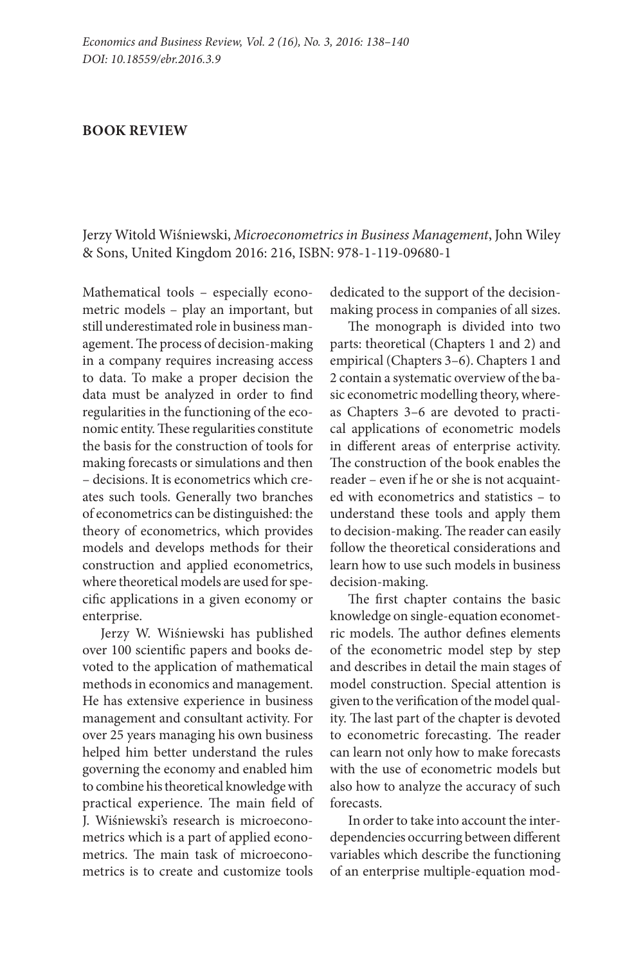## **BOOK REVIEW**

Jerzy Witold Wiśniewski, *Microeconometrics in Business Management*, John Wiley & Sons, United Kingdom 2016: 216, ISBN: 978-1-119-09680-1

Mathematical tools – especially econometric models – play an important, but still underestimated role in business management. The process of decision-making in a company requires increasing access to data. To make a proper decision the data must be analyzed in order to find regularities in the functioning of the economic entity. These regularities constitute the basis for the construction of tools for making forecasts or simulations and then – decisions. It is econometrics which creates such tools. Generally two branches of econometrics can be distinguished: the theory of econometrics, which provides models and develops methods for their construction and applied econometrics, where theoretical models are used for specific applications in a given economy or enterprise.

Jerzy W. Wiśniewski has published over 100 scientific papers and books devoted to the application of mathematical methods in economics and management. He has extensive experience in business management and consultant activity. For over 25 years managing his own business helped him better understand the rules governing the economy and enabled him to combine his theoretical knowledge with practical experience. The main field of J. Wiśniewski's research is microeconometrics which is a part of applied econometrics. The main task of microeconometrics is to create and customize tools

dedicated to the support of the decisionmaking process in companies of all sizes.

The monograph is divided into two parts: theoretical (Chapters 1 and 2) and empirical (Chapters 3–6). Chapters 1 and 2 contain a systematic overview of the basic econometric modelling theory, whereas Chapters 3–6 are devoted to practical applications of econometric models in different areas of enterprise activity. The construction of the book enables the reader – even if he or she is not acquainted with econometrics and statistics – to understand these tools and apply them to decision-making. The reader can easily follow the theoretical considerations and learn how to use such models in business decision-making.

The first chapter contains the basic knowledge on single-equation econometric models. The author defines elements of the econometric model step by step and describes in detail the main stages of model construction. Special attention is given to the verification of the model quality. The last part of the chapter is devoted to econometric forecasting. The reader can learn not only how to make forecasts with the use of econometric models but also how to analyze the accuracy of such forecasts.

In order to take into account the interdependencies occurring between different variables which describe the functioning of an enterprise multiple-equation mod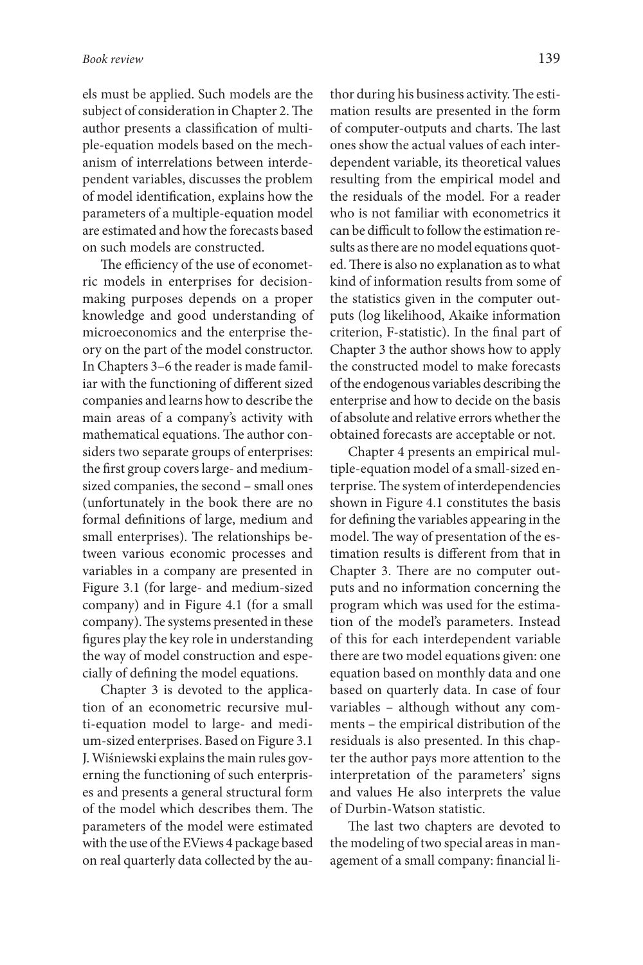els must be applied. Such models are the subject of consideration in Chapter 2. The author presents a classification of multiple-equation models based on the mechanism of interrelations between interdependent variables, discusses the problem of model identification, explains how the parameters of a multiple-equation model are estimated and how the forecasts based on such models are constructed.

The efficiency of the use of econometric models in enterprises for decisionmaking purposes depends on a proper knowledge and good understanding of microeconomics and the enterprise theory on the part of the model constructor. In Chapters 3–6 the reader is made familiar with the functioning of different sized companies and learns how to describe the main areas of a company's activity with mathematical equations. The author considers two separate groups of enterprises: the first group covers large- and mediumsized companies, the second – small ones (unfortunately in the book there are no formal definitions of large, medium and small enterprises). The relationships between various economic processes and variables in a company are presented in Figure 3.1 (for large- and medium-sized company) and in Figure 4.1 (for a small company). The systems presented in these figures play the key role in understanding the way of model construction and especially of defining the model equations.

Chapter 3 is devoted to the application of an econometric recursive multi-equation model to large- and medium-sized enterprises. Based on Figure 3.1 J. Wiśniewski explains the main rules governing the functioning of such enterprises and presents a general structural form of the model which describes them. The parameters of the model were estimated with the use of the EViews 4 package based on real quarterly data collected by the author during his business activity. The estimation results are presented in the form of computer-outputs and charts. The last ones show the actual values of each interdependent variable, its theoretical values resulting from the empirical model and the residuals of the model. For a reader who is not familiar with econometrics it can be difficult to follow the estimation results as there are no model equations quoted. There is also no explanation as to what kind of information results from some of the statistics given in the computer outputs (log likelihood, Akaike information criterion, F-statistic). In the final part of Chapter 3 the author shows how to apply the constructed model to make forecasts of the endogenous variables describing the enterprise and how to decide on the basis of absolute and relative errors whether the obtained forecasts are acceptable or not.

Chapter 4 presents an empirical multiple-equation model of a small-sized enterprise. The system of interdependencies shown in Figure 4.1 constitutes the basis for defining the variables appearing in the model. The way of presentation of the estimation results is different from that in Chapter 3. There are no computer outputs and no information concerning the program which was used for the estimation of the model's parameters. Instead of this for each interdependent variable there are two model equations given: one equation based on monthly data and one based on quarterly data. In case of four variables – although without any comments – the empirical distribution of the residuals is also presented. In this chapter the author pays more attention to the interpretation of the parameters' signs and values He also interprets the value of Durbin-Watson statistic.

The last two chapters are devoted to the modeling of two special areas in management of a small company: financial li